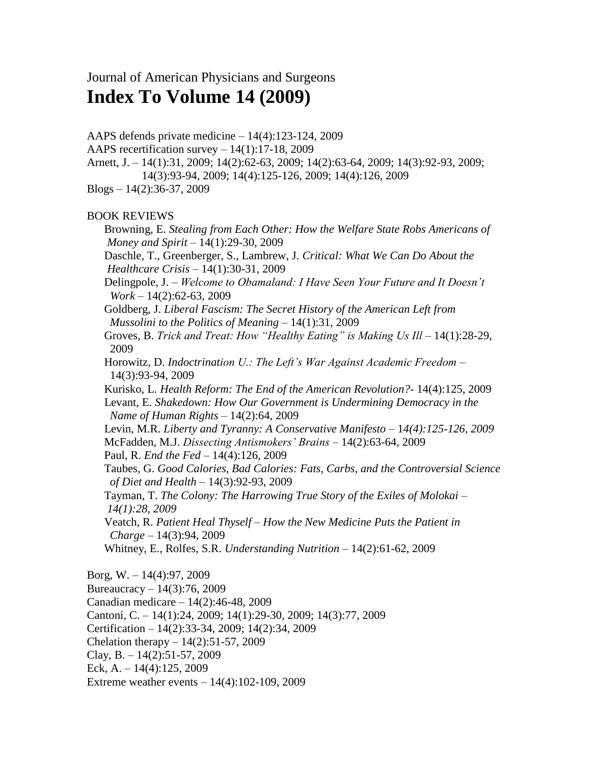## Journal of American Physicians and Surgeons **Index To Volume 14 (2009)**

AAPS defends private medicine – 14(4):123-124, 2009 AAPS recertification survey – 14(1):17-18, 2009 Arnett, J. – 14(1):31, 2009; 14(2):62-63, 2009; 14(2):63-64, 2009; 14(3):92-93, 2009; 14(3):93-94, 2009; 14(4):125-126, 2009; 14(4):126, 2009  $Blogs - 14(2):36-37, 2009$ BOOK REVIEWS Browning, E. *Stealing from Each Other: How the Welfare State Robs Americans of Money and Spirit* – 14(1):29-30, 2009 Daschle, T., Greenberger, S., Lambrew, J. *Critical: What We Can Do About the Healthcare Crisis* – 14(1):30-31, 2009 Delingpole, J. – *Welcome to Obamaland: I Have Seen Your Future and It Doesn't Work* – 14(2):62-63, 2009 Goldberg, J. *Liberal Fascism: The Secret History of the American Left from Mussolini to the Politics of Meaning* – 14(1):31, 2009 Groves, B. *Trick and Treat: How "Healthy Eating" is Making Us Ill* - 14(1):28-29, 2009 Horowitz, D. *Indoctrination U.: The Left's War Against Academic Freedom* – 14(3):93-94, 2009 Kurisko, L. *Health Reform: The End of the American Revolution?*- 14(4):125, 2009 Levant, E. *Shakedown: How Our Government is Undermining Democracy in the Name of Human Rights* – 14(2):64, 2009 Levin, M.R. *Liberty and Tyranny: A Conservative Manifesto* - 14(4):125-126, 2009 McFadden, M.J. *Dissecting Antismokers' Brains* – 14(2):63-64, 2009 Paul, R. *End the Fed* – 14(4):126, 2009 Taubes, G. *Good Calories, Bad Calories: Fats, Carbs, and the Controversial Science of Diet and Health* – 14(3):92-93, 2009 Tayman, T. *The Colony: The Harrowing True Story of the Exiles of Molokai – 14(1):28, 2009* Veatch, R. *Patient Heal Thyself – How the New Medicine Puts the Patient in Charge* – 14(3):94, 2009 Whitney, E., Rolfes, S.R. *Understanding Nutrition* – 14(2):61-62, 2009 Borg, W. – 14(4):97, 2009 Bureaucracy – 14(3):76, 2009 Canadian medicare – 14(2):46-48, 2009 Cantoni, C. – 14(1):24, 2009; 14(1):29-30, 2009; 14(3):77, 2009 Certification – 14(2):33-34, 2009; 14(2):34, 2009 Chelation therapy  $-14(2)$ : 51-57, 2009 Clay, B.  $-14(2)$ :51-57, 2009

- Eck, A. 14(4):125, 2009
- Extreme weather events 14(4):102-109, 2009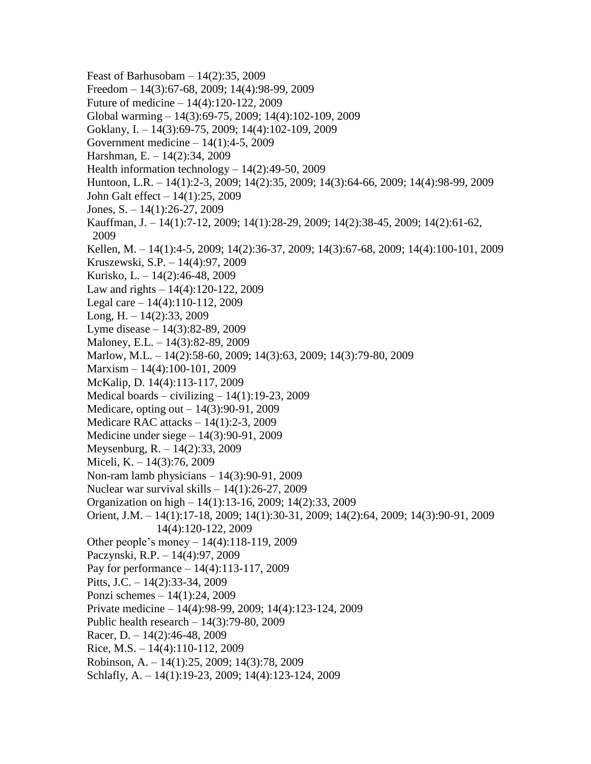Feast of Barhusobam – 14(2):35, 2009 Freedom – 14(3):67-68, 2009; 14(4):98-99, 2009 Future of medicine – 14(4):120-122, 2009 Global warming – 14(3):69-75, 2009; 14(4):102-109, 2009 Goklany, I. – 14(3):69-75, 2009; 14(4):102-109, 2009 Government medicine – 14(1):4-5, 2009 Harshman, E. – 14(2):34, 2009 Health information technology – 14(2):49-50, 2009 Huntoon, L.R. – 14(1):2-3, 2009; 14(2):35, 2009; 14(3):64-66, 2009; 14(4):98-99, 2009 John Galt effect – 14(1):25, 2009 Jones, S. – 14(1):26-27, 2009 Kauffman, J. – 14(1):7-12, 2009; 14(1):28-29, 2009; 14(2):38-45, 2009; 14(2):61-62, 2009 Kellen, M. – 14(1):4-5, 2009; 14(2):36-37, 2009; 14(3):67-68, 2009; 14(4):100-101, 2009 Kruszewski, S.P. – 14(4):97, 2009 Kurisko, L. – 14(2):46-48, 2009 Law and rights  $-14(4)$ :120-122, 2009 Legal care – 14(4):110-112, 2009 Long,  $H = 14(2):33, 2009$ Lyme disease – 14(3):82-89, 2009 Maloney, E.L. – 14(3):82-89, 2009 Marlow, M.L. – 14(2):58-60, 2009; 14(3):63, 2009; 14(3):79-80, 2009 Marxism – 14(4):100-101, 2009 McKalip, D. 14(4):113-117, 2009 Medical boards – civilizing –  $14(1):19-23,2009$ Medicare, opting out – 14(3):90-91, 2009 Medicare RAC attacks – 14(1):2-3, 2009 Medicine under siege – 14(3):90-91, 2009 Meysenburg, R. – 14(2):33, 2009 Miceli, K. – 14(3):76, 2009 Non-ram lamb physicians – 14(3):90-91, 2009 Nuclear war survival skills – 14(1):26-27, 2009 Organization on high – 14(1):13-16, 2009; 14(2):33, 2009 Orient, J.M. – 14(1):17-18, 2009; 14(1):30-31, 2009; 14(2):64, 2009; 14(3):90-91, 2009 14(4):120-122, 2009 Other people's money – 14(4):118-119, 2009 Paczynski, R.P. – 14(4):97, 2009 Pay for performance – 14(4):113-117, 2009 Pitts, J.C. – 14(2):33-34, 2009 Ponzi schemes – 14(1):24, 2009 Private medicine – 14(4):98-99, 2009; 14(4):123-124, 2009 Public health research – 14(3):79-80, 2009 Racer, D.  $-14(2)$ :46-48, 2009 Rice, M.S. – 14(4):110-112, 2009 Robinson, A. – 14(1):25, 2009; 14(3):78, 2009 Schlafly, A. – 14(1):19-23, 2009; 14(4):123-124, 2009